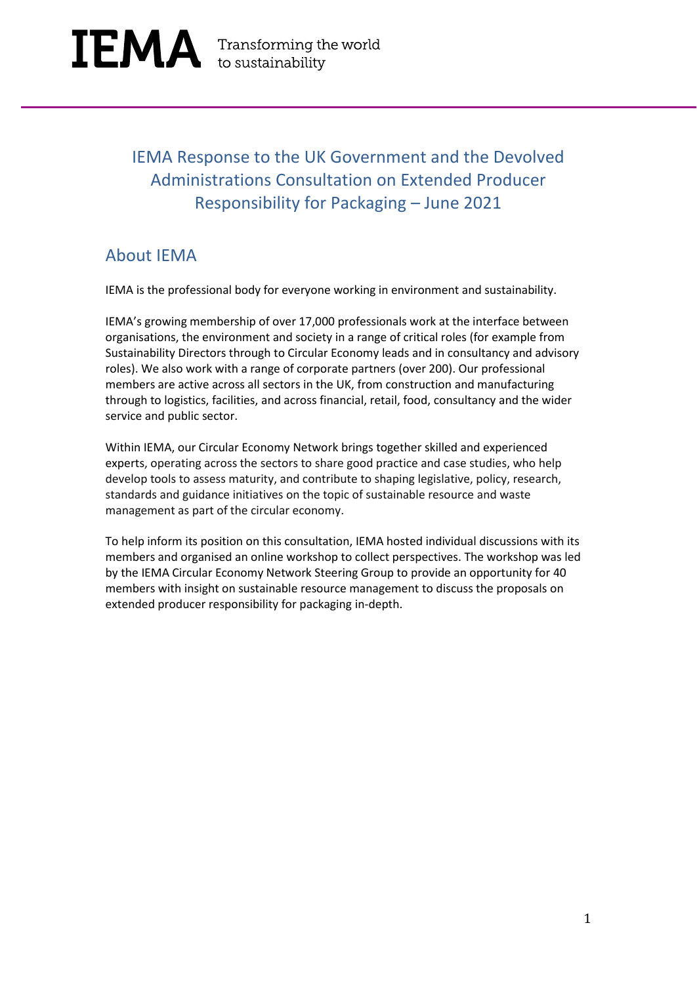### IEMA Response to the UK Government and the Devolved Administrations Consultation on Extended Producer Responsibility for Packaging – June 2021

### About IEMA

IEMA is the professional body for everyone working in environment and sustainability.

IEMA's growing membership of over 17,000 professionals work at the interface between organisations, the environment and society in a range of critical roles (for example from Sustainability Directors through to Circular Economy leads and in consultancy and advisory roles). We also work with a range of corporate partners (over 200). Our professional members are active across all sectors in the UK, from construction and manufacturing through to logistics, facilities, and across financial, retail, food, consultancy and the wider service and public sector.

Within IEMA, our Circular Economy Network brings together skilled and experienced experts, operating across the sectors to share good practice and case studies, who help develop tools to assess maturity, and contribute to shaping legislative, policy, research, standards and guidance initiatives on the topic of sustainable resource and waste management as part of the circular economy.

To help inform its position on this consultation, IEMA hosted individual discussions with its members and organised an online workshop to collect perspectives. The workshop was led by the IEMA Circular Economy Network Steering Group to provide an opportunity for 40 members with insight on sustainable resource management to discuss the proposals on extended producer responsibility for packaging in-depth.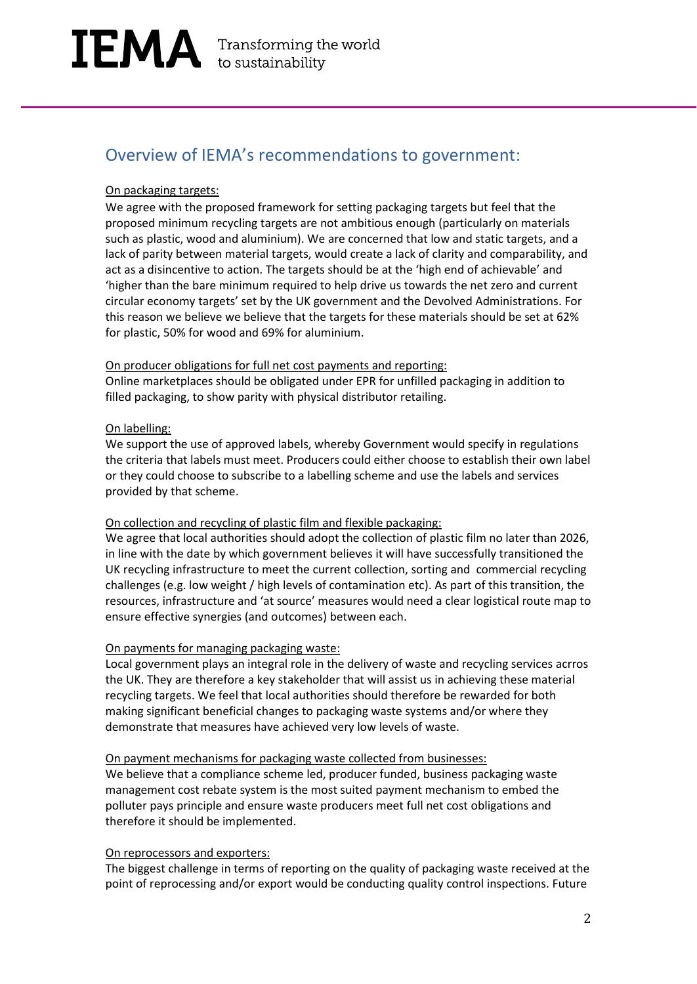# IEMA Transforming the world

### Overview of IEMA's recommendations to government:

#### On packaging targets:

We agree with the proposed framework for setting packaging targets but feel that the proposed minimum recycling targets are not ambitious enough (particularly on materials such as plastic, wood and aluminium). We are concerned that low and static targets, and a lack of parity between material targets, would create a lack of clarity and comparability, and act as a disincentive to action. The targets should be at the 'high end of achievable' and 'higher than the bare minimum required to help drive us towards the net zero and current circular economy targets' set by the UK government and the Devolved Administrations. For this reason we believe we believe that the targets for these materials should be set at 62% for plastic, 50% for wood and 69% for aluminium.

#### On producer obligations for full net cost payments and reporting:

Online marketplaces should be obligated under EPR for unfilled packaging in addition to filled packaging, to show parity with physical distributor retailing.

#### On labelling:

We support the use of approved labels, whereby Government would specify in regulations the criteria that labels must meet. Producers could either choose to establish their own label or they could choose to subscribe to a labelling scheme and use the labels and services provided by that scheme.

#### On collection and recycling of plastic film and flexible packaging:

We agree that local authorities should adopt the collection of plastic film no later than 2026, in line with the date by which government believes it will have successfully transitioned the UK recycling infrastructure to meet the current collection, sorting and commercial recycling challenges (e.g. low weight / high levels of contamination etc). As part of this transition, the resources, infrastructure and 'at source' measures would need a clear logistical route map to ensure effective synergies (and outcomes) between each.

#### On payments for managing packaging waste:

Local government plays an integral role in the delivery of waste and recycling services acrros the UK. They are therefore a key stakeholder that will assist us in achieving these material recycling targets. We feel that local authorities should therefore be rewarded for both making significant beneficial changes to packaging waste systems and/or where they demonstrate that measures have achieved very low levels of waste.

#### On payment mechanisms for packaging waste collected from businesses:

We believe that a compliance scheme led, producer funded, business packaging waste management cost rebate system is the most suited payment mechanism to embed the polluter pays principle and ensure waste producers meet full net cost obligations and therefore it should be implemented.

#### On reprocessors and exporters:

The biggest challenge in terms of reporting on the quality of packaging waste received at the point of reprocessing and/or export would be conducting quality control inspections. Future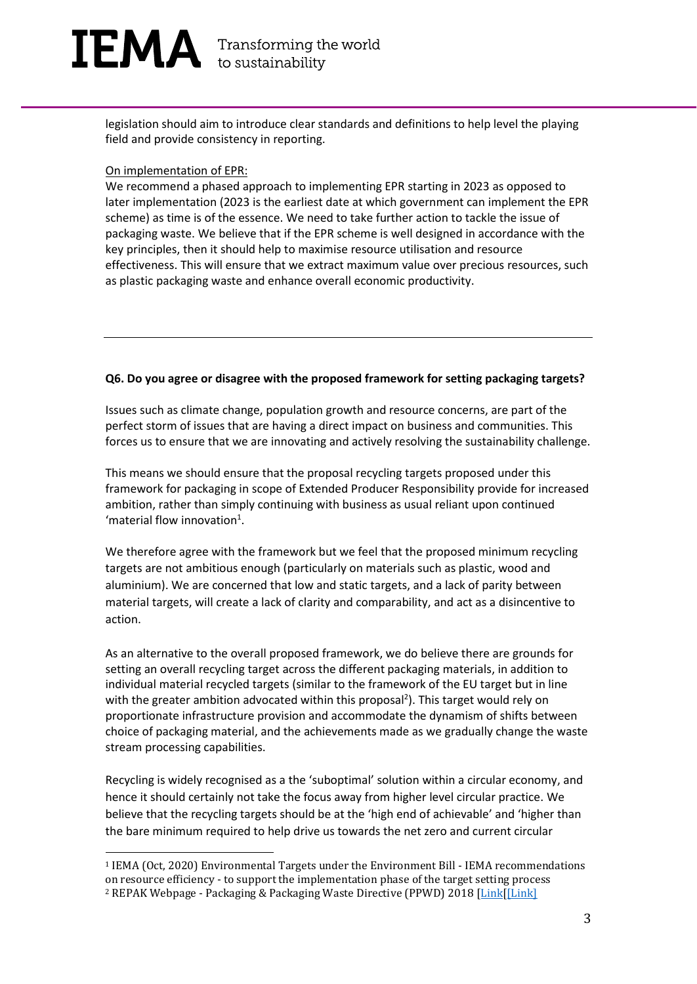# $[EMA]$  Transforming the world

legislation should aim to introduce clear standards and definitions to help level the playing field and provide consistency in reporting.

#### On implementation of EPR:

We recommend a phased approach to implementing EPR starting in 2023 as opposed to later implementation (2023 is the earliest date at which government can implement the EPR scheme) as time is of the essence. We need to take further action to tackle the issue of packaging waste. We believe that if the EPR scheme is well designed in accordance with the key principles, then it should help to maximise resource utilisation and resource effectiveness. This will ensure that we extract maximum value over precious resources, such as plastic packaging waste and enhance overall economic productivity.

#### **Q6. Do you agree or disagree with the proposed framework for setting packaging targets?**

Issues such as climate change, population growth and resource concerns, are part of the perfect storm of issues that are having a direct impact on business and communities. This forces us to ensure that we are innovating and actively resolving the sustainability challenge.

This means we should ensure that the proposal recycling targets proposed under this framework for packaging in scope of Extended Producer Responsibility provide for increased ambition, rather than simply continuing with business as usual reliant upon continued 'material flow innovation $1$ .

We therefore agree with the framework but we feel that the proposed minimum recycling targets are not ambitious enough (particularly on materials such as plastic, wood and aluminium). We are concerned that low and static targets, and a lack of parity between material targets, will create a lack of clarity and comparability, and act as a disincentive to action.

As an alternative to the overall proposed framework, we do believe there are grounds for setting an overall recycling target across the different packaging materials, in addition to individual material recycled targets (similar to the framework of the EU target but in line with the greater ambition advocated within this proposal<sup>2</sup>). This target would rely on proportionate infrastructure provision and accommodate the dynamism of shifts between choice of packaging material, and the achievements made as we gradually change the waste stream processing capabilities.

Recycling is widely recognised as a the 'suboptimal' solution within a circular economy, and hence it should certainly not take the focus away from higher level circular practice. We believe that the recycling targets should be at the 'high end of achievable' and 'higher than the bare minimum required to help drive us towards the net zero and current circular

<sup>1</sup> IEMA (Oct, 2020) Environmental Targets under the Environment Bill - IEMA recommendations on resource efficiency - to support the implementation phase of the target setting process <sup>2</sup> REPAK Webpage - Packaging & Packaging Waste Directive (PPWD) 2018 [\[Link\[](https://repak.ie/driving-change/circular-economy-eu-legislation/packaging-waste-directive-wfd-2018/)[\[Link\]](https://www.eea.europa.eu/data-and-maps/indicators/waste-recycling-1/assessment-1#:~:text=In%202018%2C%20more%20ambitious%20targets,of%20packaging%20waste%20by%202008.)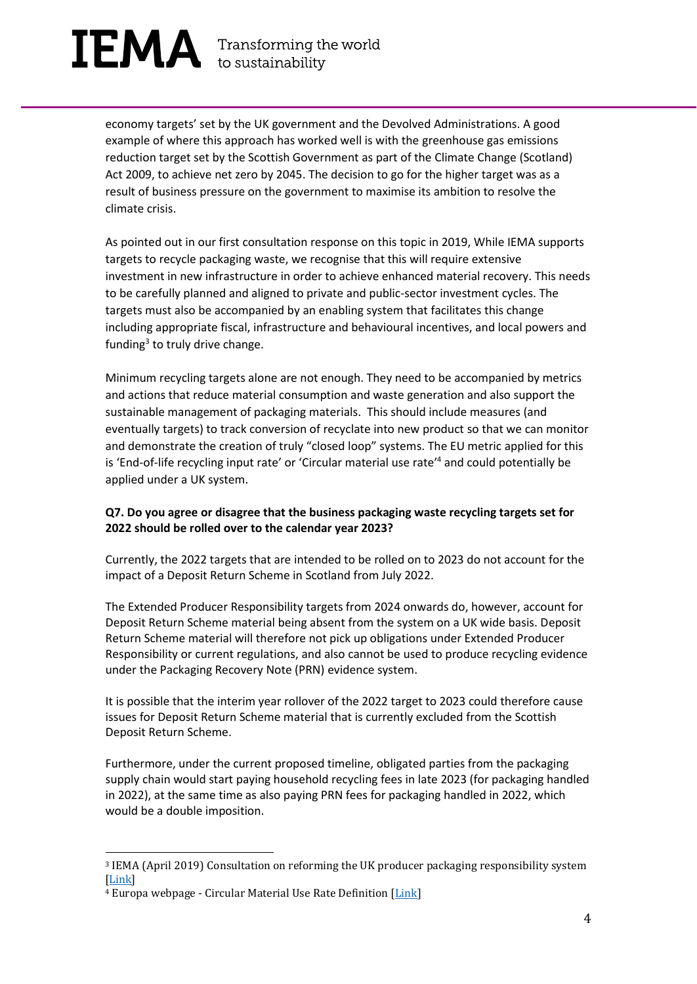# $[EMA]$  Transforming the world

economy targets' set by the UK government and the Devolved Administrations. A good example of where this approach has worked well is with the greenhouse gas emissions reduction target set by the Scottish Government as part of the Climate Change (Scotland) Act 2009, to achieve net zero by 2045. The decision to go for the higher target was as a result of business pressure on the government to maximise its ambition to resolve the climate crisis.

As pointed out in our first consultation response on this topic in 2019, While IEMA supports targets to recycle packaging waste, we recognise that this will require extensive investment in new infrastructure in order to achieve enhanced material recovery. This needs to be carefully planned and aligned to private and public-sector investment cycles. The targets must also be accompanied by an enabling system that facilitates this change including appropriate fiscal, infrastructure and behavioural incentives, and local powers and funding<sup>3</sup> to truly drive change.

Minimum recycling targets alone are not enough. They need to be accompanied by metrics and actions that reduce material consumption and waste generation and also support the sustainable management of packaging materials. This should include measures (and eventually targets) to track conversion of recyclate into new product so that we can monitor and demonstrate the creation of truly "closed loop" systems. The EU metric applied for this is 'End-of-life recycling input rate' or 'Circular material use rate' <sup>4</sup> and could potentially be applied under a UK system.

#### **Q7. Do you agree or disagree that the business packaging waste recycling targets set for 2022 should be rolled over to the calendar year 2023?**

Currently, the 2022 targets that are intended to be rolled on to 2023 do not account for the impact of a Deposit Return Scheme in Scotland from July 2022.

The Extended Producer Responsibility targets from 2024 onwards do, however, account for Deposit Return Scheme material being absent from the system on a UK wide basis. Deposit Return Scheme material will therefore not pick up obligations under Extended Producer Responsibility or current regulations, and also cannot be used to produce recycling evidence under the Packaging Recovery Note (PRN) evidence system.

It is possible that the interim year rollover of the 2022 target to 2023 could therefore cause issues for Deposit Return Scheme material that is currently excluded from the Scottish Deposit Return Scheme.

Furthermore, under the current proposed timeline, obligated parties from the packaging supply chain would start paying household recycling fees in late 2023 (for packaging handled in 2022), at the same time as also paying PRN fees for packaging handled in 2022, which would be a double imposition.

<sup>3</sup> IEMA (April 2019) Consultation on reforming the UK producer packaging responsibility system [\[Link\]](https://www.iema.net/resources/news/2019/05/21/iema-submits-consultation-responses-under-the-resources-and-waste-strategy/)

<sup>&</sup>lt;sup>4</sup> Europa webpage - Circular Material Use Rate Definition [\[Link\]](https://ec.europa.eu/eurostat/web/products-datasets/-/cei_srm030#:~:text=The%20circular%20material%20use%2C%20also,the%20circular%20use%20of%20materials.)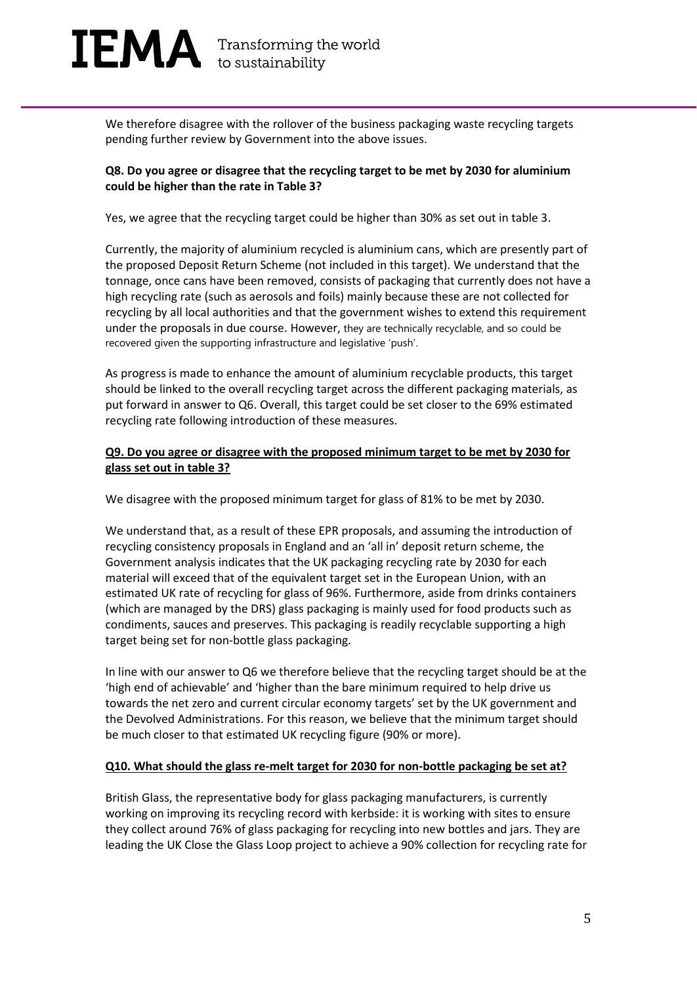We therefore disagree with the rollover of the business packaging waste recycling targets pending further review by Government into the above issues.

#### **Q8. Do you agree or disagree that the recycling target to be met by 2030 for aluminium could be higher than the rate in Table 3?**

Yes, we agree that the recycling target could be higher than 30% as set out in table 3.

Currently, the majority of aluminium recycled is aluminium cans, which are presently part of the proposed Deposit Return Scheme (not included in this target). We understand that the tonnage, once cans have been removed, consists of packaging that currently does not have a high recycling rate (such as aerosols and foils) mainly because these are not collected for recycling by all local authorities and that the government wishes to extend this requirement under the proposals in due course. However, they are technically recyclable, and so could be recovered given the supporting infrastructure and legislative 'push'.

As progress is made to enhance the amount of aluminium recyclable products, this target should be linked to the overall recycling target across the different packaging materials, as put forward in answer to Q6. Overall, this target could be set closer to the 69% estimated recycling rate following introduction of these measures.

#### **Q9. Do you agree or disagree with the proposed minimum target to be met by 2030 for glass set out in table 3?**

We disagree with the proposed minimum target for glass of 81% to be met by 2030.

We understand that, as a result of these EPR proposals, and assuming the introduction of recycling consistency proposals in England and an 'all in' deposit return scheme, the Government analysis indicates that the UK packaging recycling rate by 2030 for each material will exceed that of the equivalent target set in the European Union, with an estimated UK rate of recycling for glass of 96%. Furthermore, aside from drinks containers (which are managed by the DRS) glass packaging is mainly used for food products such as condiments, sauces and preserves. This packaging is readily recyclable supporting a high target being set for non-bottle glass packaging.

In line with our answer to Q6 we therefore believe that the recycling target should be at the 'high end of achievable' and 'higher than the bare minimum required to help drive us towards the net zero and current circular economy targets' set by the UK government and the Devolved Administrations. For this reason, we believe that the minimum target should be much closer to that estimated UK recycling figure (90% or more).

#### **Q10. What should the glass re-melt target for 2030 for non-bottle packaging be set at?**

British Glass, the representative body for glass packaging manufacturers, is currently working on improving its recycling record with kerbside: it is working with sites to ensure they collect around 76% of glass packaging for recycling into new bottles and jars. They are leading the UK Close the Glass Loop project to achieve a 90% collection for recycling rate for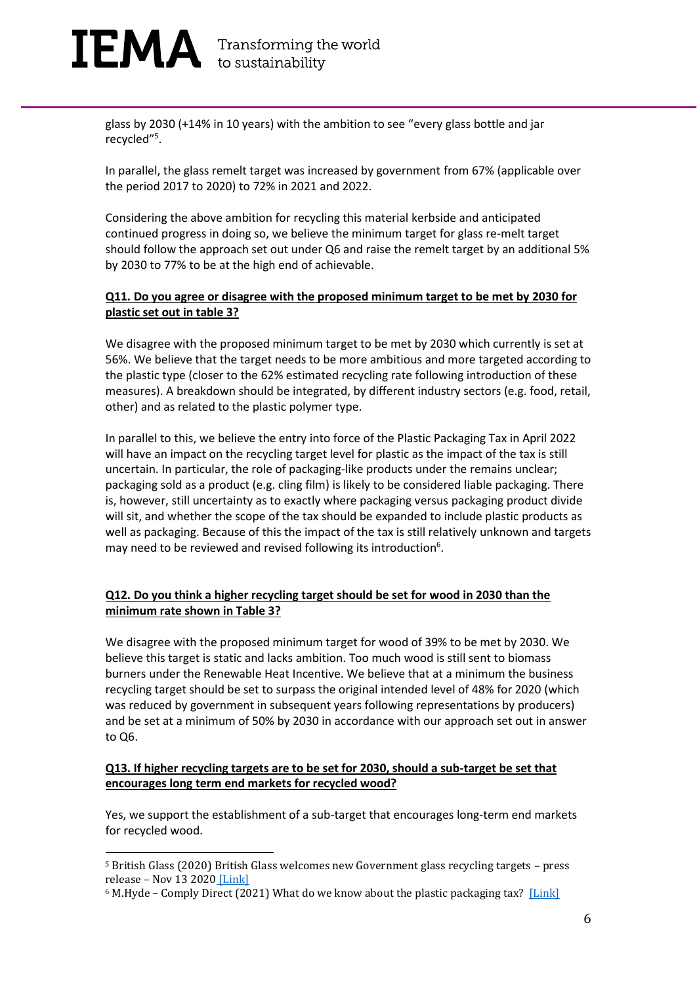### $[EMA]$  Transforming the world

glass by 2030 (+14% in 10 years) with the ambition to see "every glass bottle and jar recycled" 5 .

In parallel, the glass remelt target was increased by government from 67% (applicable over the period 2017 to 2020) to 72% in 2021 and 2022.

Considering the above ambition for recycling this material kerbside and anticipated continued progress in doing so, we believe the minimum target for glass re-melt target should follow the approach set out under Q6 and raise the remelt target by an additional 5% by 2030 to 77% to be at the high end of achievable.

#### **Q11. Do you agree or disagree with the proposed minimum target to be met by 2030 for plastic set out in table 3?**

We disagree with the proposed minimum target to be met by 2030 which currently is set at 56%. We believe that the target needs to be more ambitious and more targeted according to the plastic type (closer to the 62% estimated recycling rate following introduction of these measures). A breakdown should be integrated, by different industry sectors (e.g. food, retail, other) and as related to the plastic polymer type.

In parallel to this, we believe the entry into force of the Plastic Packaging Tax in April 2022 will have an impact on the recycling target level for plastic as the impact of the tax is still uncertain. In particular, the role of packaging-like products under the remains unclear; packaging sold as a product (e.g. cling film) is likely to be considered liable packaging. There is, however, still uncertainty as to exactly where packaging versus packaging product divide will sit, and whether the scope of the tax should be expanded to include plastic products as well as packaging. Because of this the impact of the tax is still relatively unknown and targets may need to be reviewed and revised following its introduction<sup>6</sup>.

#### **Q12. Do you think a higher recycling target should be set for wood in 2030 than the minimum rate shown in Table 3?**

We disagree with the proposed minimum target for wood of 39% to be met by 2030. We believe this target is static and lacks ambition. Too much wood is still sent to biomass burners under the Renewable Heat Incentive. We believe that at a minimum the business recycling target should be set to surpass the original intended level of 48% for 2020 (which was reduced by government in subsequent years following representations by producers) and be set at a minimum of 50% by 2030 in accordance with our approach set out in answer to Q6.

#### **Q13. If higher recycling targets are to be set for 2030, should a sub-target be set that encourages long term end markets for recycled wood?**

Yes, we support the establishment of a sub-target that encourages long-term end markets for recycled wood.

<sup>5</sup> British Glass (2020) British Glass welcomes new Government glass recycling targets – press release – Nov 13 2020 [\[Link\]](https://www.britglass.org.uk/news-comment/british-glass-welcomes-new-government-glass-recycling-targets)

 $6$  M.Hyde – Comply Direct (2021) What do we know about the plastic packaging tax? [\[Link\]](https://www.letsrecycle.com/news/latest-news/what-do-we-know-about-the-plastic-packaging-tax/#:~:text=With%20significant%20financial%20and%20administrative,for%20its%20implementation%20next%20year.&text=We%20know%20the%20tax%20will%20come%20into%20force%20in%20April%202022.)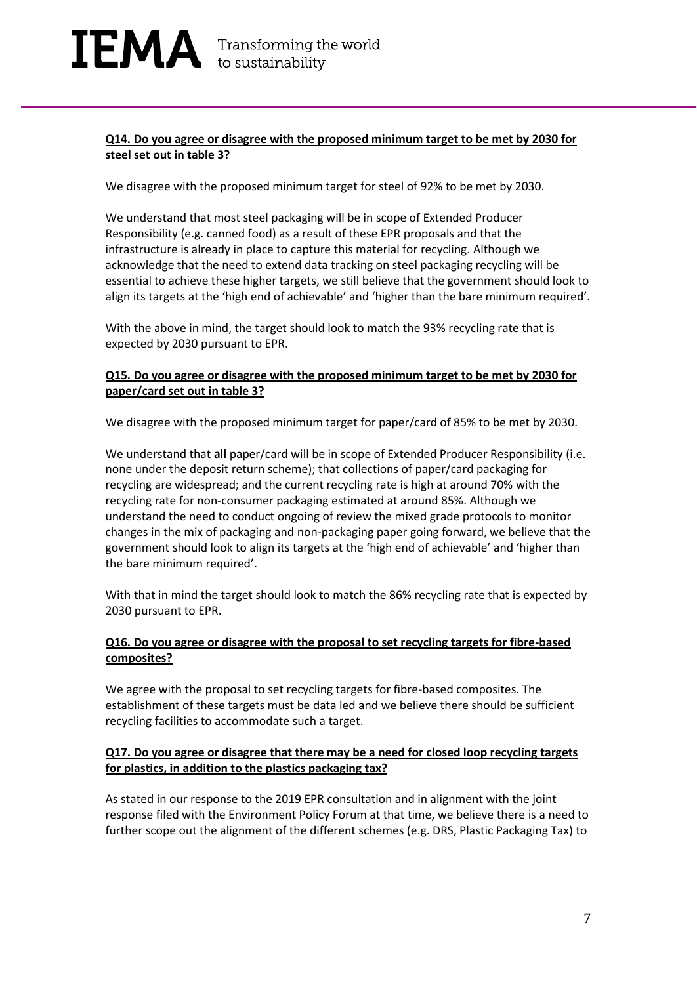#### **Q14. Do you agree or disagree with the proposed minimum target to be met by 2030 for steel set out in table 3?**

We disagree with the proposed minimum target for steel of 92% to be met by 2030.

We understand that most steel packaging will be in scope of Extended Producer Responsibility (e.g. canned food) as a result of these EPR proposals and that the infrastructure is already in place to capture this material for recycling. Although we acknowledge that the need to extend data tracking on steel packaging recycling will be essential to achieve these higher targets, we still believe that the government should look to align its targets at the 'high end of achievable' and 'higher than the bare minimum required'.

With the above in mind, the target should look to match the 93% recycling rate that is expected by 2030 pursuant to EPR.

#### **Q15. Do you agree or disagree with the proposed minimum target to be met by 2030 for paper/card set out in table 3?**

We disagree with the proposed minimum target for paper/card of 85% to be met by 2030.

We understand that **all** paper/card will be in scope of Extended Producer Responsibility (i.e. none under the deposit return scheme); that collections of paper/card packaging for recycling are widespread; and the current recycling rate is high at around 70% with the recycling rate for non-consumer packaging estimated at around 85%. Although we understand the need to conduct ongoing of review the mixed grade protocols to monitor changes in the mix of packaging and non-packaging paper going forward, we believe that the government should look to align its targets at the 'high end of achievable' and 'higher than the bare minimum required'.

With that in mind the target should look to match the 86% recycling rate that is expected by 2030 pursuant to EPR.

#### **Q16. Do you agree or disagree with the proposal to set recycling targets for fibre-based composites?**

We agree with the proposal to set recycling targets for fibre-based composites. The establishment of these targets must be data led and we believe there should be sufficient recycling facilities to accommodate such a target.

#### **Q17. Do you agree or disagree that there may be a need for closed loop recycling targets for plastics, in addition to the plastics packaging tax?**

As stated in our response to the 2019 EPR consultation and in alignment with the joint response filed with the Environment Policy Forum at that time, we believe there is a need to further scope out the alignment of the different schemes (e.g. DRS, Plastic Packaging Tax) to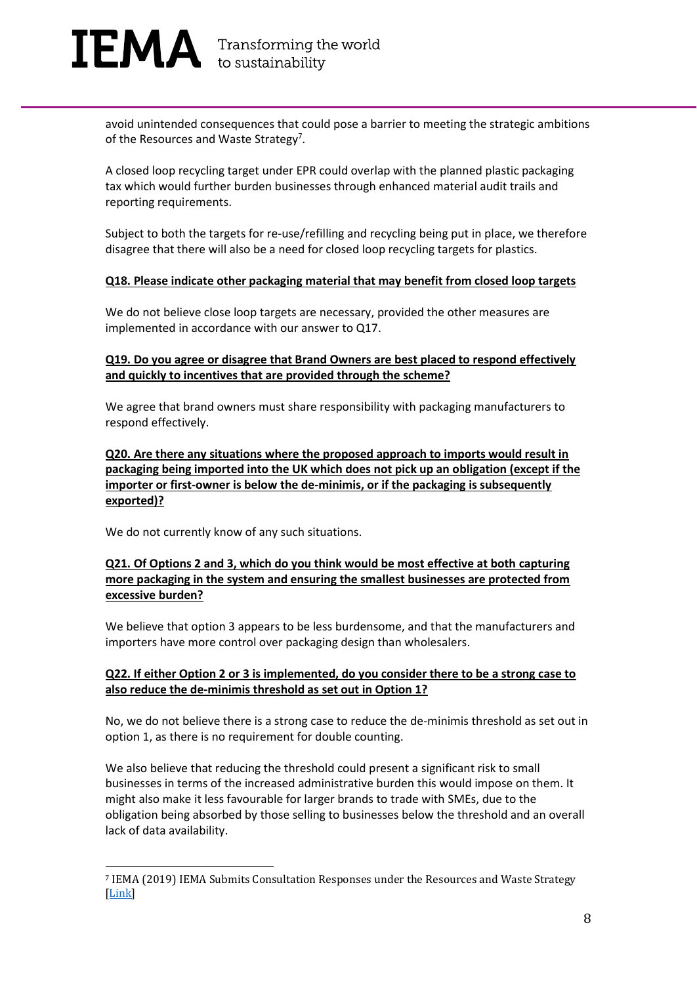avoid unintended consequences that could pose a barrier to meeting the strategic ambitions of the Resources and Waste Strategy<sup>7</sup>.

A closed loop recycling target under EPR could overlap with the planned plastic packaging tax which would further burden businesses through enhanced material audit trails and reporting requirements.

Subject to both the targets for re-use/refilling and recycling being put in place, we therefore disagree that there will also be a need for closed loop recycling targets for plastics.

#### **Q18. Please indicate other packaging material that may benefit from closed loop targets**

We do not believe close loop targets are necessary, provided the other measures are implemented in accordance with our answer to Q17.

#### **Q19. Do you agree or disagree that Brand Owners are best placed to respond effectively and quickly to incentives that are provided through the scheme?**

We agree that brand owners must share responsibility with packaging manufacturers to respond effectively.

**Q20. Are there any situations where the proposed approach to imports would result in packaging being imported into the UK which does not pick up an obligation (except if the importer or first-owner is below the de-minimis, or if the packaging is subsequently exported)?**

We do not currently know of any such situations.

#### **Q21. Of Options 2 and 3, which do you think would be most effective at both capturing more packaging in the system and ensuring the smallest businesses are protected from excessive burden?**

We believe that option 3 appears to be less burdensome, and that the manufacturers and importers have more control over packaging design than wholesalers.

#### **Q22. If either Option 2 or 3 is implemented, do you consider there to be a strong case to also reduce the de-minimis threshold as set out in Option 1?**

No, we do not believe there is a strong case to reduce the de-minimis threshold as set out in option 1, as there is no requirement for double counting.

We also believe that reducing the threshold could present a significant risk to small businesses in terms of the increased administrative burden this would impose on them. It might also make it less favourable for larger brands to trade with SMEs, due to the obligation being absorbed by those selling to businesses below the threshold and an overall lack of data availability.

<sup>7</sup> IEMA (2019) IEMA Submits Consultation Responses under the Resources and Waste Strategy [\[Link\]](https://www.iema.net/resources/news/2019/05/21/iema-submits-consultation-responses-under-the-resources-and-waste-strategy/)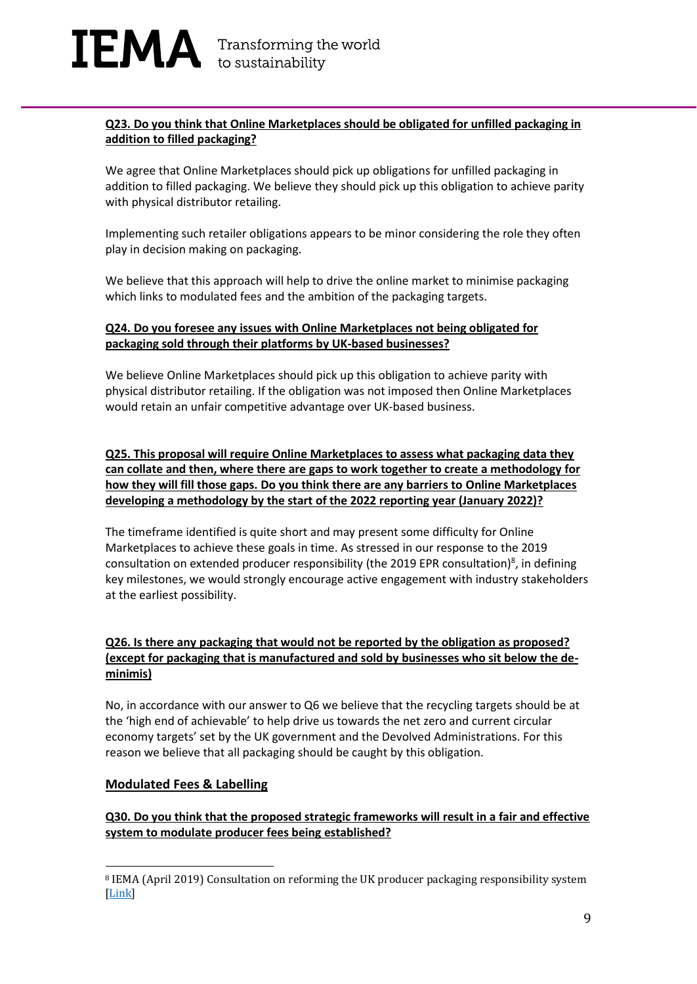#### **Q23. Do you think that Online Marketplaces should be obligated for unfilled packaging in addition to filled packaging?**

We agree that Online Marketplaces should pick up obligations for unfilled packaging in addition to filled packaging. We believe they should pick up this obligation to achieve parity with physical distributor retailing.

Implementing such retailer obligations appears to be minor considering the role they often play in decision making on packaging.

We believe that this approach will help to drive the online market to minimise packaging which links to modulated fees and the ambition of the packaging targets.

#### **Q24. Do you foresee any issues with Online Marketplaces not being obligated for packaging sold through their platforms by UK-based businesses?**

We believe Online Marketplaces should pick up this obligation to achieve parity with physical distributor retailing. If the obligation was not imposed then Online Marketplaces would retain an unfair competitive advantage over UK-based business.

#### **Q25. This proposal will require Online Marketplaces to assess what packaging data they can collate and then, where there are gaps to work together to create a methodology for how they will fill those gaps. Do you think there are any barriers to Online Marketplaces developing a methodology by the start of the 2022 reporting year (January 2022)?**

The timeframe identified is quite short and may present some difficulty for Online Marketplaces to achieve these goals in time. As stressed in our response to the 2019 consultation on extended producer responsibility (the 2019 EPR consultation)<sup>8</sup>, in defining key milestones, we would strongly encourage active engagement with industry stakeholders at the earliest possibility.

#### **Q26. Is there any packaging that would not be reported by the obligation as proposed? (except for packaging that is manufactured and sold by businesses who sit below the deminimis)**

No, in accordance with our answer to Q6 we believe that the recycling targets should be at the 'high end of achievable' to help drive us towards the net zero and current circular economy targets' set by the UK government and the Devolved Administrations. For this reason we believe that all packaging should be caught by this obligation.

#### **Modulated Fees & Labelling**

#### **Q30. Do you think that the proposed strategic frameworks will result in a fair and effective system to modulate producer fees being established?**

<sup>8</sup> IEMA (April 2019) Consultation on reforming the UK producer packaging responsibility system [\[Link\]](https://www.iema.net/resources/news/2019/05/21/iema-submits-consultation-responses-under-the-resources-and-waste-strategy/)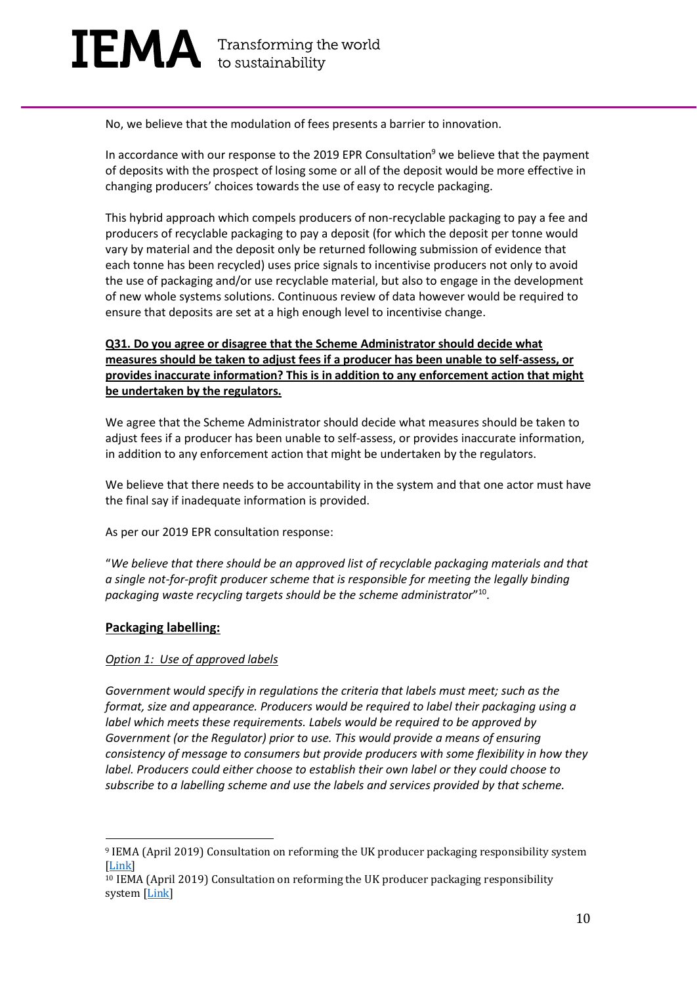No, we believe that the modulation of fees presents a barrier to innovation.

In accordance with our response to the 2019 EPR Consultation<sup>9</sup> we believe that the payment of deposits with the prospect of losing some or all of the deposit would be more effective in changing producers' choices towards the use of easy to recycle packaging.

This hybrid approach which compels producers of non-recyclable packaging to pay a fee and producers of recyclable packaging to pay a deposit (for which the deposit per tonne would vary by material and the deposit only be returned following submission of evidence that each tonne has been recycled) uses price signals to incentivise producers not only to avoid the use of packaging and/or use recyclable material, but also to engage in the development of new whole systems solutions. Continuous review of data however would be required to ensure that deposits are set at a high enough level to incentivise change.

#### **Q31. Do you agree or disagree that the Scheme Administrator should decide what measures should be taken to adjust fees if a producer has been unable to self-assess, or provides inaccurate information? This is in addition to any enforcement action that might be undertaken by the regulators.**

We agree that the Scheme Administrator should decide what measures should be taken to adjust fees if a producer has been unable to self-assess, or provides inaccurate information, in addition to any enforcement action that might be undertaken by the regulators.

We believe that there needs to be accountability in the system and that one actor must have the final say if inadequate information is provided.

As per our 2019 EPR consultation response:

"*We believe that there should be an approved list of recyclable packaging materials and that a single not-for-profit producer scheme that is responsible for meeting the legally binding packaging waste recycling targets should be the scheme administrator*" 10 .

#### **Packaging labelling:**

#### *Option 1: Use of approved labels*

*Government would specify in regulations the criteria that labels must meet; such as the format, size and appearance. Producers would be required to label their packaging using a label which meets these requirements. Labels would be required to be approved by Government (or the Regulator) prior to use. This would provide a means of ensuring consistency of message to consumers but provide producers with some flexibility in how they label. Producers could either choose to establish their own label or they could choose to subscribe to a labelling scheme and use the labels and services provided by that scheme.*

<sup>9</sup> IEMA (April 2019) Consultation on reforming the UK producer packaging responsibility system [\[Link\]](https://www.iema.net/resources/news/2019/05/21/iema-submits-consultation-responses-under-the-resources-and-waste-strategy/)

<sup>10</sup> IEMA (April 2019) Consultation on reforming the UK producer packaging responsibility system [\[Link\]](https://www.iema.net/resources/news/2019/05/21/iema-submits-consultation-responses-under-the-resources-and-waste-strategy/)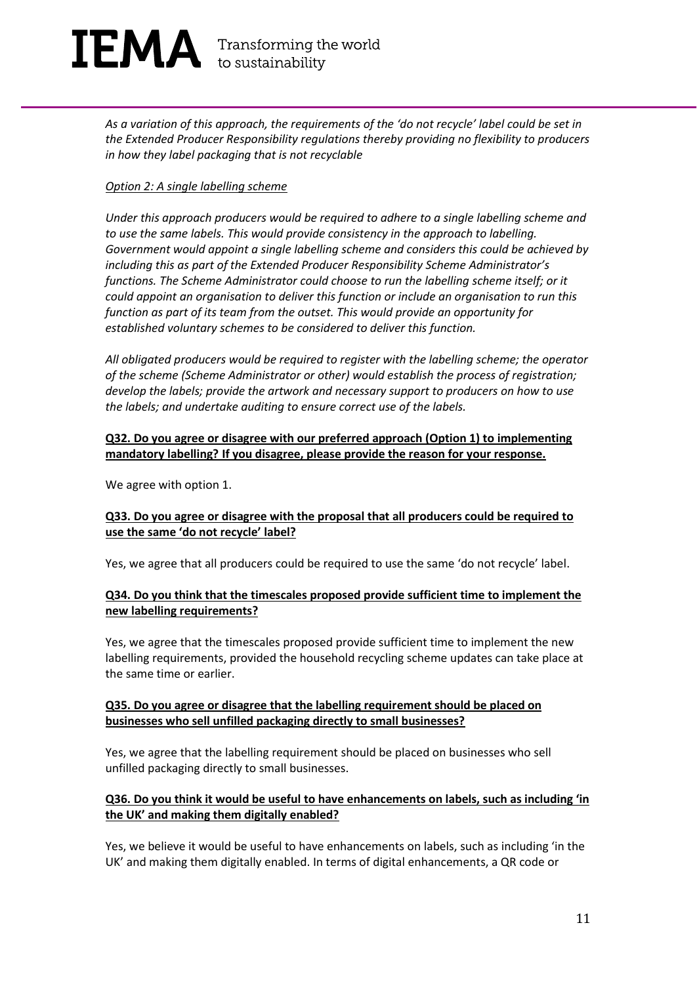# $\mathbf{IEMA}$  Transforming the world

*As a variation of this approach, the requirements of the 'do not recycle' label could be set in the Extended Producer Responsibility regulations thereby providing no flexibility to producers in how they label packaging that is not recyclable*

#### *Option 2: A single labelling scheme*

*Under this approach producers would be required to adhere to a single labelling scheme and to use the same labels. This would provide consistency in the approach to labelling. Government would appoint a single labelling scheme and considers this could be achieved by including this as part of the Extended Producer Responsibility Scheme Administrator's functions. The Scheme Administrator could choose to run the labelling scheme itself; or it could appoint an organisation to deliver this function or include an organisation to run this function as part of its team from the outset. This would provide an opportunity for established voluntary schemes to be considered to deliver this function.*

*All obligated producers would be required to register with the labelling scheme; the operator of the scheme (Scheme Administrator or other) would establish the process of registration; develop the labels; provide the artwork and necessary support to producers on how to use the labels; and undertake auditing to ensure correct use of the labels.*

#### **Q32. Do you agree or disagree with our preferred approach (Option 1) to implementing mandatory labelling? If you disagree, please provide the reason for your response.**

We agree with option 1.

#### **Q33. Do you agree or disagree with the proposal that all producers could be required to use the same 'do not recycle' label?**

Yes, we agree that all producers could be required to use the same 'do not recycle' label.

#### **Q34. Do you think that the timescales proposed provide sufficient time to implement the new labelling requirements?**

Yes, we agree that the timescales proposed provide sufficient time to implement the new labelling requirements, provided the household recycling scheme updates can take place at the same time or earlier.

#### **Q35. Do you agree or disagree that the labelling requirement should be placed on businesses who sell unfilled packaging directly to small businesses?**

Yes, we agree that the labelling requirement should be placed on businesses who sell unfilled packaging directly to small businesses.

#### **Q36. Do you think it would be useful to have enhancements on labels, such as including 'in the UK' and making them digitally enabled?**

Yes, we believe it would be useful to have enhancements on labels, such as including 'in the UK' and making them digitally enabled. In terms of digital enhancements, a QR code or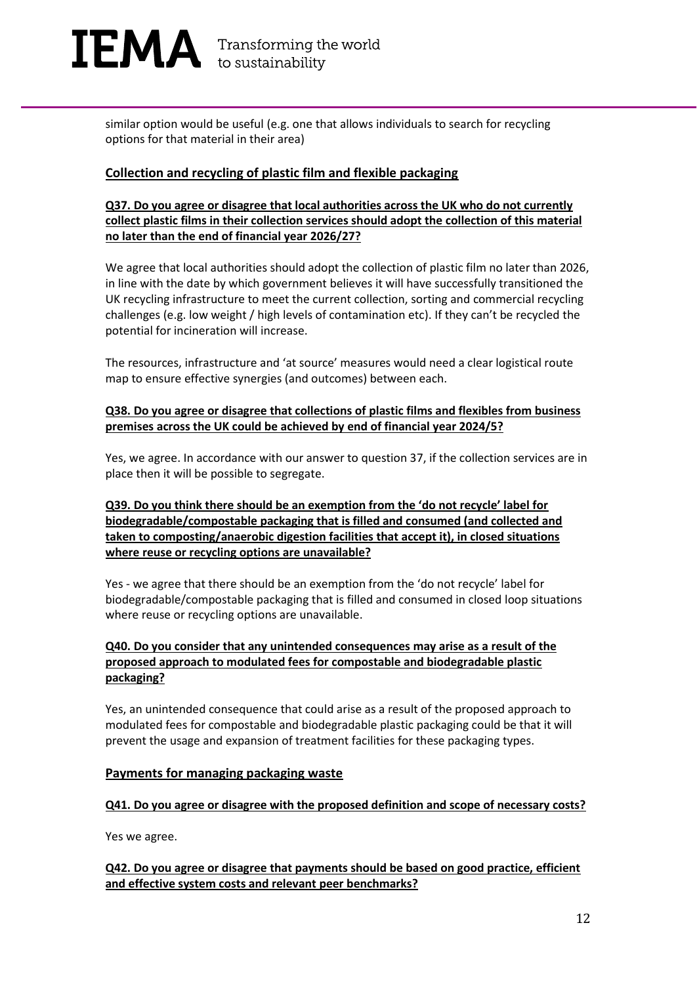

similar option would be useful (e.g. one that allows individuals to search for recycling options for that material in their area)

#### **Collection and recycling of plastic film and flexible packaging**

#### **Q37. Do you agree or disagree that local authorities across the UK who do not currently collect plastic films in their collection services should adopt the collection of this material no later than the end of financial year 2026/27?**

We agree that local authorities should adopt the collection of plastic film no later than 2026, in line with the date by which government believes it will have successfully transitioned the UK recycling infrastructure to meet the current collection, sorting and commercial recycling challenges (e.g. low weight / high levels of contamination etc). If they can't be recycled the potential for incineration will increase.

The resources, infrastructure and 'at source' measures would need a clear logistical route map to ensure effective synergies (and outcomes) between each.

#### **Q38. Do you agree or disagree that collections of plastic films and flexibles from business premises across the UK could be achieved by end of financial year 2024/5?**

Yes, we agree. In accordance with our answer to question 37, if the collection services are in place then it will be possible to segregate.

#### **Q39. Do you think there should be an exemption from the 'do not recycle' label for biodegradable/compostable packaging that is filled and consumed (and collected and taken to composting/anaerobic digestion facilities that accept it), in closed situations where reuse or recycling options are unavailable?**

Yes - we agree that there should be an exemption from the 'do not recycle' label for biodegradable/compostable packaging that is filled and consumed in closed loop situations where reuse or recycling options are unavailable.

#### **Q40. Do you consider that any unintended consequences may arise as a result of the proposed approach to modulated fees for compostable and biodegradable plastic packaging?**

Yes, an unintended consequence that could arise as a result of the proposed approach to modulated fees for compostable and biodegradable plastic packaging could be that it will prevent the usage and expansion of treatment facilities for these packaging types.

#### **Payments for managing packaging waste**

#### **Q41. Do you agree or disagree with the proposed definition and scope of necessary costs?**

Yes we agree.

#### **Q42. Do you agree or disagree that payments should be based on good practice, efficient and effective system costs and relevant peer benchmarks?**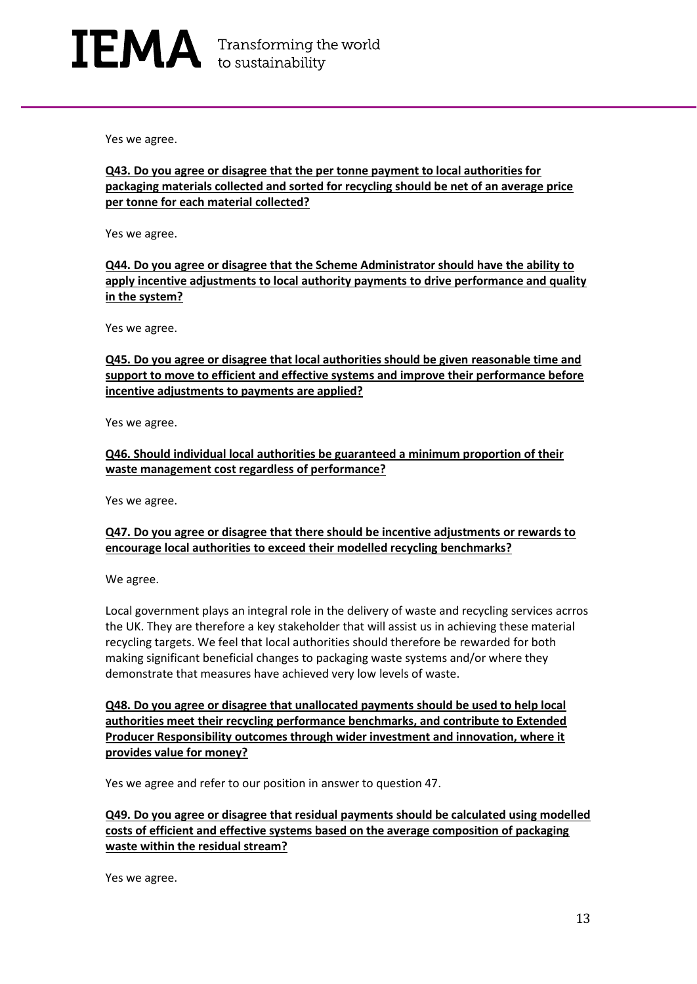Yes we agree.

**Q43. Do you agree or disagree that the per tonne payment to local authorities for packaging materials collected and sorted for recycling should be net of an average price per tonne for each material collected?**

Yes we agree.

**Q44. Do you agree or disagree that the Scheme Administrator should have the ability to apply incentive adjustments to local authority payments to drive performance and quality in the system?**

Yes we agree.

**Q45. Do you agree or disagree that local authorities should be given reasonable time and support to move to efficient and effective systems and improve their performance before incentive adjustments to payments are applied?**

Yes we agree.

**Q46. Should individual local authorities be guaranteed a minimum proportion of their waste management cost regardless of performance?**

Yes we agree.

#### **Q47. Do you agree or disagree that there should be incentive adjustments or rewards to encourage local authorities to exceed their modelled recycling benchmarks?**

We agree.

Local government plays an integral role in the delivery of waste and recycling services acrros the UK. They are therefore a key stakeholder that will assist us in achieving these material recycling targets. We feel that local authorities should therefore be rewarded for both making significant beneficial changes to packaging waste systems and/or where they demonstrate that measures have achieved very low levels of waste.

**Q48. Do you agree or disagree that unallocated payments should be used to help local authorities meet their recycling performance benchmarks, and contribute to Extended Producer Responsibility outcomes through wider investment and innovation, where it provides value for money?**

Yes we agree and refer to our position in answer to question 47.

#### **Q49. Do you agree or disagree that residual payments should be calculated using modelled costs of efficient and effective systems based on the average composition of packaging waste within the residual stream?**

Yes we agree.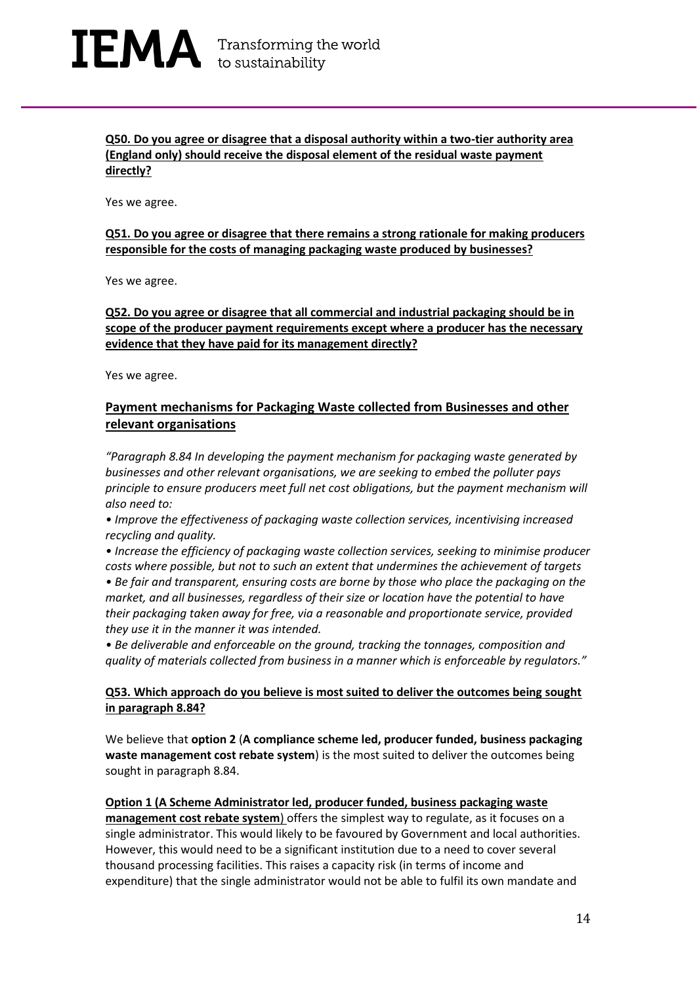### IEMA Transforming the world

**Q50. Do you agree or disagree that a disposal authority within a two-tier authority area (England only) should receive the disposal element of the residual waste payment directly?**

Yes we agree.

#### **Q51. Do you agree or disagree that there remains a strong rationale for making producers responsible for the costs of managing packaging waste produced by businesses?**

Yes we agree.

**Q52. Do you agree or disagree that all commercial and industrial packaging should be in scope of the producer payment requirements except where a producer has the necessary evidence that they have paid for its management directly?**

Yes we agree.

#### **Payment mechanisms for Packaging Waste collected from Businesses and other relevant organisations**

*"Paragraph 8.84 In developing the payment mechanism for packaging waste generated by businesses and other relevant organisations, we are seeking to embed the polluter pays principle to ensure producers meet full net cost obligations, but the payment mechanism will also need to:*

*• Improve the effectiveness of packaging waste collection services, incentivising increased recycling and quality.*

*• Increase the efficiency of packaging waste collection services, seeking to minimise producer costs where possible, but not to such an extent that undermines the achievement of targets*

*• Be fair and transparent, ensuring costs are borne by those who place the packaging on the market, and all businesses, regardless of their size or location have the potential to have their packaging taken away for free, via a reasonable and proportionate service, provided they use it in the manner it was intended.*

*• Be deliverable and enforceable on the ground, tracking the tonnages, composition and quality of materials collected from business in a manner which is enforceable by regulators."*

#### **Q53. Which approach do you believe is most suited to deliver the outcomes being sought in paragraph 8.84?**

We believe that **option 2** (**A compliance scheme led, producer funded, business packaging waste management cost rebate system**) is the most suited to deliver the outcomes being sought in paragraph 8.84.

#### **Option 1 (A Scheme Administrator led, producer funded, business packaging waste**

**management cost rebate system**) offers the simplest way to regulate, as it focuses on a single administrator. This would likely to be favoured by Government and local authorities. However, this would need to be a significant institution due to a need to cover several thousand processing facilities. This raises a capacity risk (in terms of income and expenditure) that the single administrator would not be able to fulfil its own mandate and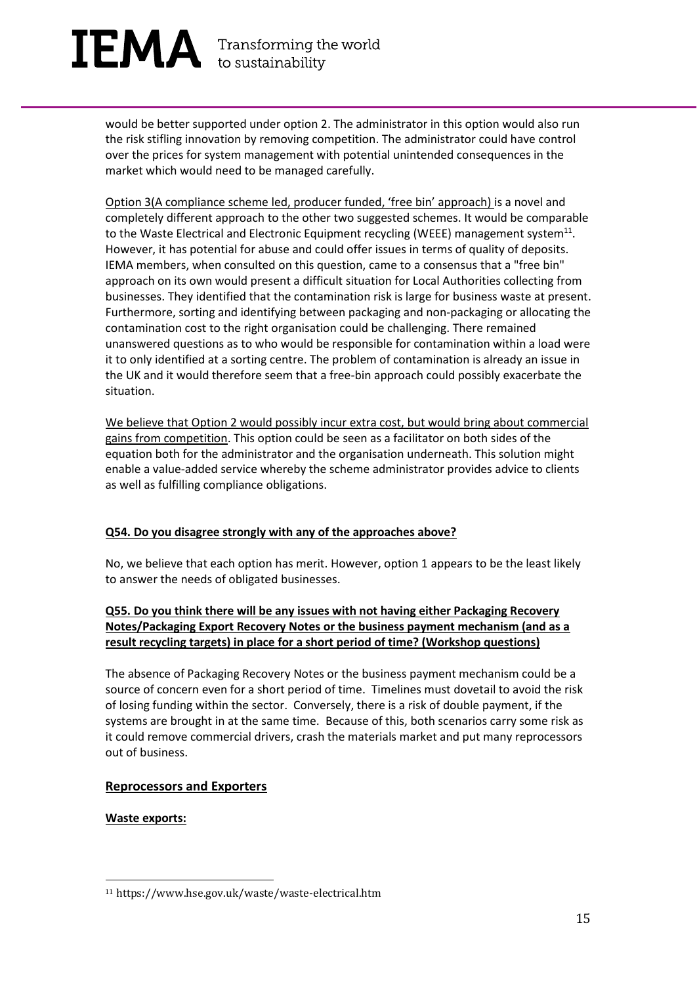# $\mathbf{IEMA}$  Transforming the world

would be better supported under option 2. The administrator in this option would also run the risk stifling innovation by removing competition. The administrator could have control over the prices for system management with potential unintended consequences in the market which would need to be managed carefully.

Option 3(A compliance scheme led, producer funded, 'free bin' approach) is a novel and completely different approach to the other two suggested schemes. It would be comparable to the Waste Electrical and Electronic Equipment recycling (WEEE) management system $^{11}$ . However, it has potential for abuse and could offer issues in terms of quality of deposits. IEMA members, when consulted on this question, came to a consensus that a "free bin" approach on its own would present a difficult situation for Local Authorities collecting from businesses. They identified that the contamination risk is large for business waste at present. Furthermore, sorting and identifying between packaging and non-packaging or allocating the contamination cost to the right organisation could be challenging. There remained unanswered questions as to who would be responsible for contamination within a load were it to only identified at a sorting centre. The problem of contamination is already an issue in the UK and it would therefore seem that a free-bin approach could possibly exacerbate the situation.

We believe that Option 2 would possibly incur extra cost, but would bring about commercial gains from competition. This option could be seen as a facilitator on both sides of the equation both for the administrator and the organisation underneath. This solution might enable a value-added service whereby the scheme administrator provides advice to clients as well as fulfilling compliance obligations.

#### **Q54. Do you disagree strongly with any of the approaches above?**

No, we believe that each option has merit. However, option 1 appears to be the least likely to answer the needs of obligated businesses.

#### **Q55. Do you think there will be any issues with not having either Packaging Recovery Notes/Packaging Export Recovery Notes or the business payment mechanism (and as a result recycling targets) in place for a short period of time? (Workshop questions)**

The absence of Packaging Recovery Notes or the business payment mechanism could be a source of concern even for a short period of time. Timelines must dovetail to avoid the risk of losing funding within the sector. Conversely, there is a risk of double payment, if the systems are brought in at the same time. Because of this, both scenarios carry some risk as it could remove commercial drivers, crash the materials market and put many reprocessors out of business.

#### **Reprocessors and Exporters**

**Waste exports:**

<sup>11</sup> https://www.hse.gov.uk/waste/waste-electrical.htm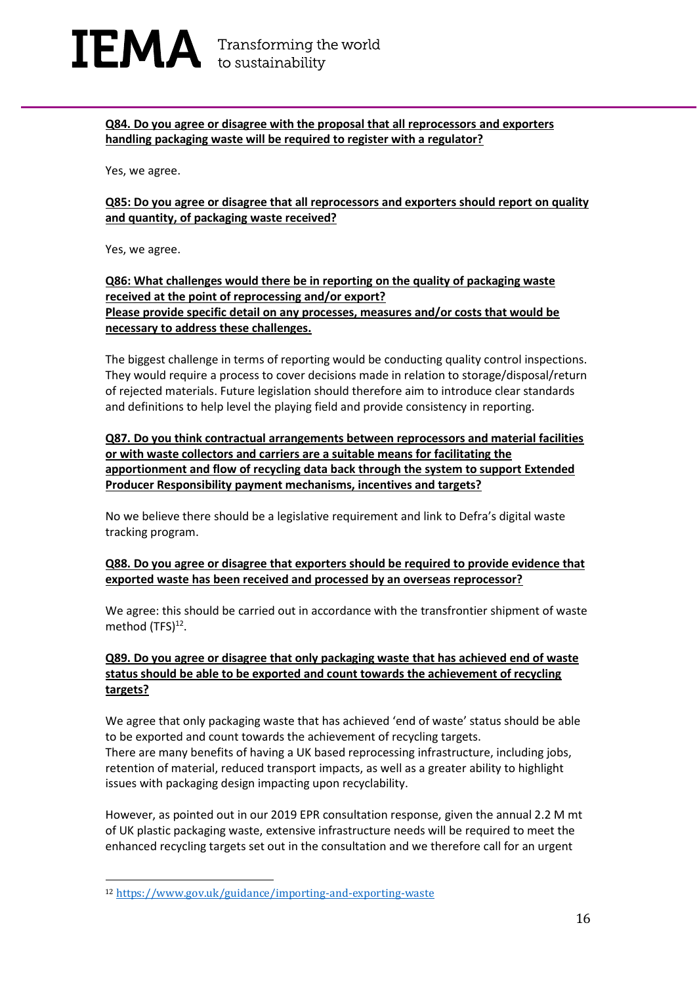#### **Q84. Do you agree or disagree with the proposal that all reprocessors and exporters handling packaging waste will be required to register with a regulator?**

Yes, we agree.

**Q85: Do you agree or disagree that all reprocessors and exporters should report on quality and quantity, of packaging waste received?**

Yes, we agree.

#### **Q86: What challenges would there be in reporting on the quality of packaging waste received at the point of reprocessing and/or export? Please provide specific detail on any processes, measures and/or costs that would be necessary to address these challenges.**

The biggest challenge in terms of reporting would be conducting quality control inspections. They would require a process to cover decisions made in relation to storage/disposal/return of rejected materials. Future legislation should therefore aim to introduce clear standards and definitions to help level the playing field and provide consistency in reporting.

#### **Q87. Do you think contractual arrangements between reprocessors and material facilities or with waste collectors and carriers are a suitable means for facilitating the apportionment and flow of recycling data back through the system to support Extended Producer Responsibility payment mechanisms, incentives and targets?**

No we believe there should be a legislative requirement and link to Defra's digital waste tracking program.

#### **Q88. Do you agree or disagree that exporters should be required to provide evidence that exported waste has been received and processed by an overseas reprocessor?**

We agree: this should be carried out in accordance with the transfrontier shipment of waste method (TFS)<sup>12</sup>.

#### **Q89. Do you agree or disagree that only packaging waste that has achieved end of waste status should be able to be exported and count towards the achievement of recycling targets?**

We agree that only packaging waste that has achieved 'end of waste' status should be able to be exported and count towards the achievement of recycling targets. There are many benefits of having a UK based reprocessing infrastructure, including jobs, retention of material, reduced transport impacts, as well as a greater ability to highlight issues with packaging design impacting upon recyclability.

However, as pointed out in our 2019 EPR consultation response, given the annual 2.2 M mt of UK plastic packaging waste, extensive infrastructure needs will be required to meet the enhanced recycling targets set out in the consultation and we therefore call for an urgent

<sup>12</sup> <https://www.gov.uk/guidance/importing-and-exporting-waste>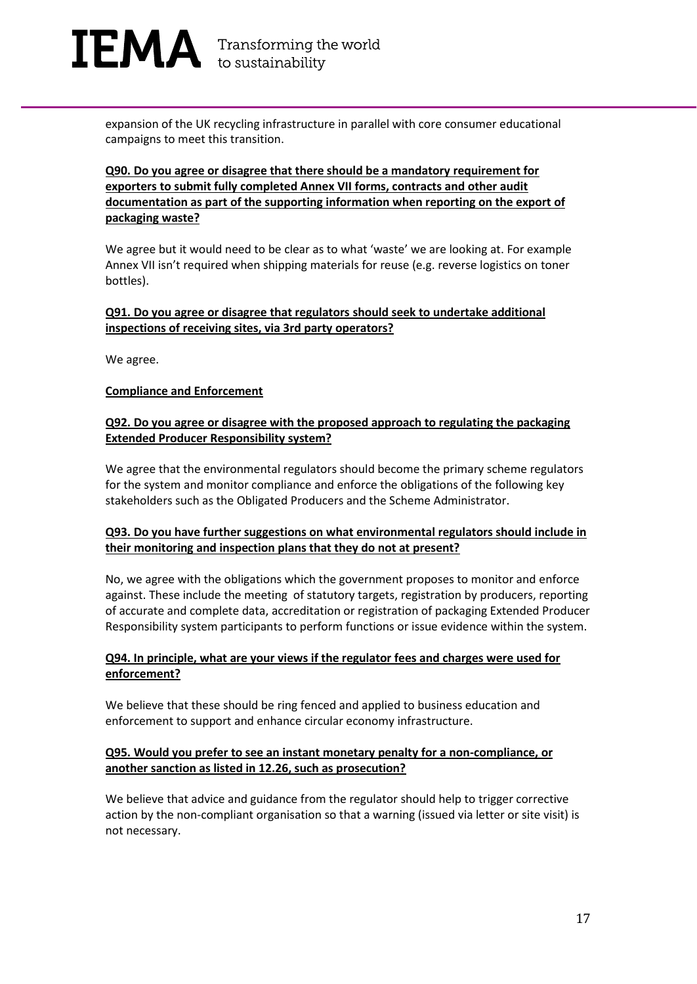

expansion of the UK recycling infrastructure in parallel with core consumer educational campaigns to meet this transition.

#### **Q90. Do you agree or disagree that there should be a mandatory requirement for exporters to submit fully completed Annex VII forms, contracts and other audit documentation as part of the supporting information when reporting on the export of packaging waste?**

We agree but it would need to be clear as to what 'waste' we are looking at. For example Annex VII isn't required when shipping materials for reuse (e.g. reverse logistics on toner bottles).

#### **Q91. Do you agree or disagree that regulators should seek to undertake additional inspections of receiving sites, via 3rd party operators?**

We agree.

#### **Compliance and Enforcement**

#### **Q92. Do you agree or disagree with the proposed approach to regulating the packaging Extended Producer Responsibility system?**

We agree that the environmental regulators should become the primary scheme regulators for the system and monitor compliance and enforce the obligations of the following key stakeholders such as the Obligated Producers and the Scheme Administrator.

#### **Q93. Do you have further suggestions on what environmental regulators should include in their monitoring and inspection plans that they do not at present?**

No, we agree with the obligations which the government proposes to monitor and enforce against. These include the meeting of statutory targets, registration by producers, reporting of accurate and complete data, accreditation or registration of packaging Extended Producer Responsibility system participants to perform functions or issue evidence within the system.

#### **Q94. In principle, what are your views if the regulator fees and charges were used for enforcement?**

We believe that these should be ring fenced and applied to business education and enforcement to support and enhance circular economy infrastructure.

#### **Q95. Would you prefer to see an instant monetary penalty for a non-compliance, or another sanction as listed in 12.26, such as prosecution?**

We believe that advice and guidance from the regulator should help to trigger corrective action by the non-compliant organisation so that a warning (issued via letter or site visit) is not necessary.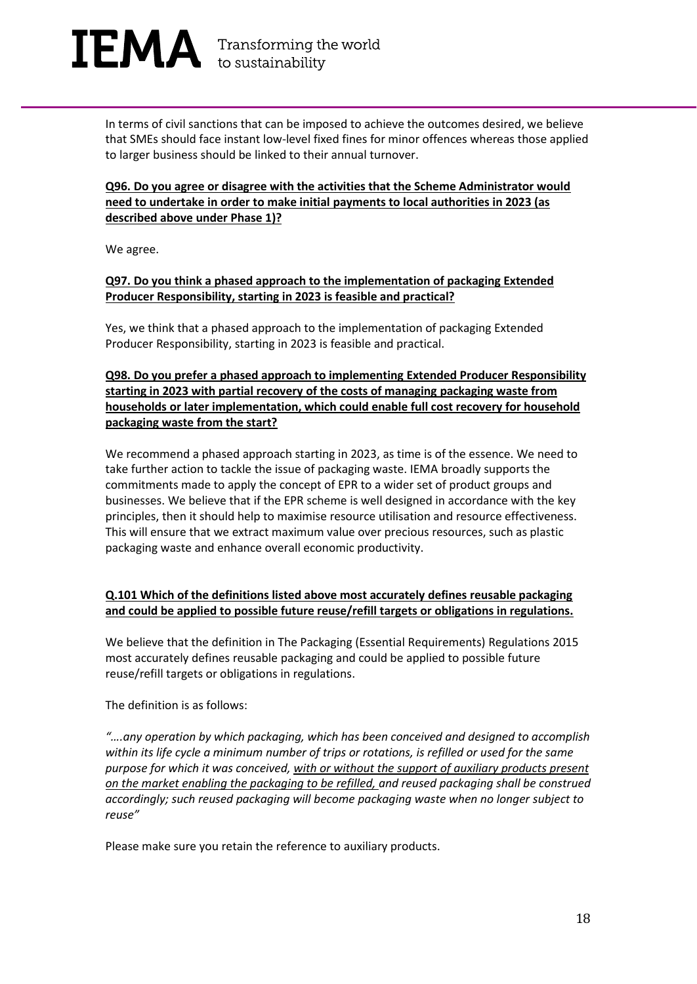$\mathbf{IEMA}$  Transforming the world

In terms of civil sanctions that can be imposed to achieve the outcomes desired, we believe that SMEs should face instant low-level fixed fines for minor offences whereas those applied to larger business should be linked to their annual turnover.

#### **Q96. Do you agree or disagree with the activities that the Scheme Administrator would need to undertake in order to make initial payments to local authorities in 2023 (as described above under Phase 1)?**

We agree.

#### **Q97. Do you think a phased approach to the implementation of packaging Extended Producer Responsibility, starting in 2023 is feasible and practical?**

Yes, we think that a phased approach to the implementation of packaging Extended Producer Responsibility, starting in 2023 is feasible and practical.

**Q98. Do you prefer a phased approach to implementing Extended Producer Responsibility starting in 2023 with partial recovery of the costs of managing packaging waste from households or later implementation, which could enable full cost recovery for household packaging waste from the start?**

We recommend a phased approach starting in 2023, as time is of the essence. We need to take further action to tackle the issue of packaging waste. IEMA broadly supports the commitments made to apply the concept of EPR to a wider set of product groups and businesses. We believe that if the EPR scheme is well designed in accordance with the key principles, then it should help to maximise resource utilisation and resource effectiveness. This will ensure that we extract maximum value over precious resources, such as plastic packaging waste and enhance overall economic productivity.

#### **Q.101 Which of the definitions listed above most accurately defines reusable packaging and could be applied to possible future reuse/refill targets or obligations in regulations.**

We believe that the definition in The Packaging (Essential Requirements) Regulations 2015 most accurately defines reusable packaging and could be applied to possible future reuse/refill targets or obligations in regulations.

The definition is as follows:

*"….any operation by which packaging, which has been conceived and designed to accomplish within its life cycle a minimum number of trips or rotations, is refilled or used for the same purpose for which it was conceived, with or without the support of auxiliary products present on the market enabling the packaging to be refilled, and reused packaging shall be construed accordingly; such reused packaging will become packaging waste when no longer subject to reuse"*

Please make sure you retain the reference to auxiliary products.